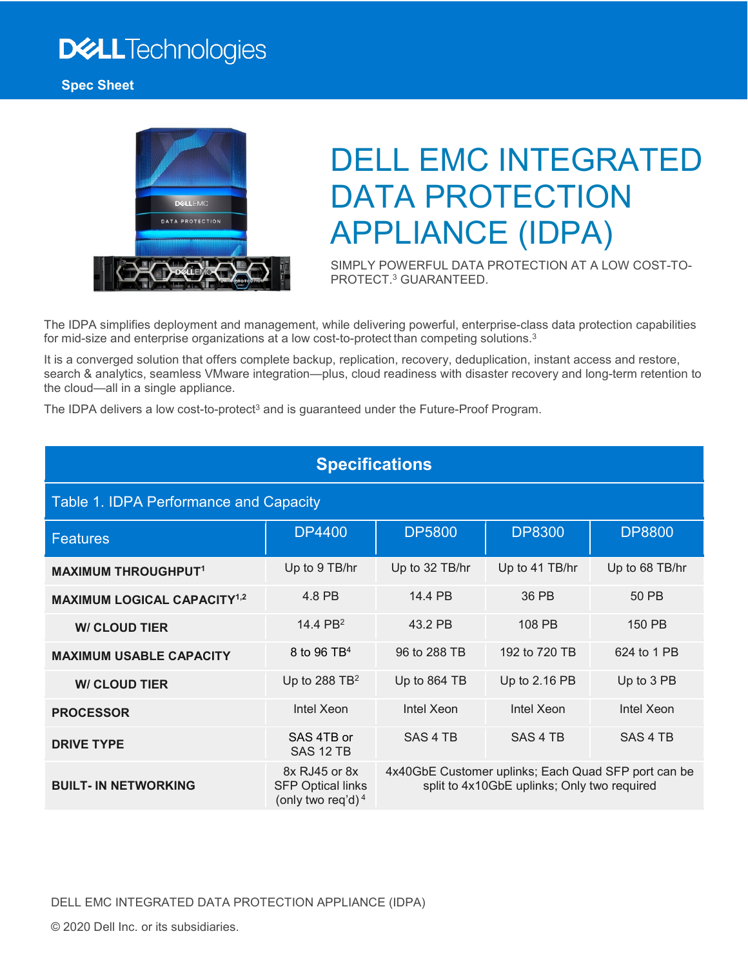# **DELL**Technologies



# DELL EMC INTEGRATED DATA PROTECTION APPLIANCE (IDPA)

SIMPLY POWERFUL DATA PROTECTION AT A LOW COST-TO-PROTECT.3 GUARANTEED.

The IDPA simplifies deployment and management, while delivering powerful, enterprise-class data protection capabilities for mid-size and enterprise organizations at a low cost-to-protect than competing solutions.<sup>3</sup>

It is a converged solution that offers complete backup, replication, recovery, deduplication, instant access and restore, search & analytics, seamless VMware integration—plus, cloud readiness with disaster recovery and long-term retention to the cloud—all in a single appliance.

The IDPA delivers a low cost-to-protect<sup>3</sup> and is guaranteed under the Future-Proof Program.

| <b>Specifications</b>                         |                                                                   |                                                                                                    |                     |                |  |  |
|-----------------------------------------------|-------------------------------------------------------------------|----------------------------------------------------------------------------------------------------|---------------------|----------------|--|--|
| Table 1. IDPA Performance and Capacity        |                                                                   |                                                                                                    |                     |                |  |  |
| <b>Features</b>                               | <b>DP4400</b>                                                     | <b>DP5800</b>                                                                                      | <b>DP8300</b>       | <b>DP8800</b>  |  |  |
| <b>MAXIMUM THROUGHPUT1</b>                    | Up to 9 TB/hr                                                     | Up to 32 TB/hr                                                                                     | Up to 41 TB/hr      | Up to 68 TB/hr |  |  |
| <b>MAXIMUM LOGICAL CAPACITY<sup>1,2</sup></b> | 4.8 PB                                                            | 14.4 PB                                                                                            | 36 PB               | 50 PB          |  |  |
| <b>W/ CLOUD TIER</b>                          | 14.4 PB <sup>2</sup>                                              | 43.2 PB                                                                                            | 108 PB              | 150 PB         |  |  |
| <b>MAXIMUM USABLE CAPACITY</b>                | 8 to 96 TB <sup>4</sup>                                           | 96 to 288 TB                                                                                       | 192 to 720 TB       | 624 to 1 PB    |  |  |
| <b>W/ CLOUD TIER</b>                          | Up to 288 $TB2$                                                   | Up to 864 TB                                                                                       | Up to 2.16 PB       | Up to 3 PB     |  |  |
| <b>PROCESSOR</b>                              | Intel Xeon                                                        | Intel Xeon                                                                                         | Intel Xeon          | Intel Xeon     |  |  |
| <b>DRIVE TYPE</b>                             | SAS 4TB or<br><b>SAS 12 TB</b>                                    | SAS 4 TB                                                                                           | SAS <sub>4</sub> TB | SAS 4 TB       |  |  |
| <b>BUILT- IN NETWORKING</b>                   | 8x RJ45 or 8x<br><b>SFP Optical links</b><br>(only two req'd) $4$ | 4x40GbE Customer uplinks; Each Quad SFP port can be<br>split to 4x10GbE uplinks; Only two required |                     |                |  |  |

DELL EMC INTEGRATED DATA PROTECTION APPLIANCE (IDPA)

© 2020 Dell Inc. or its subsidiaries.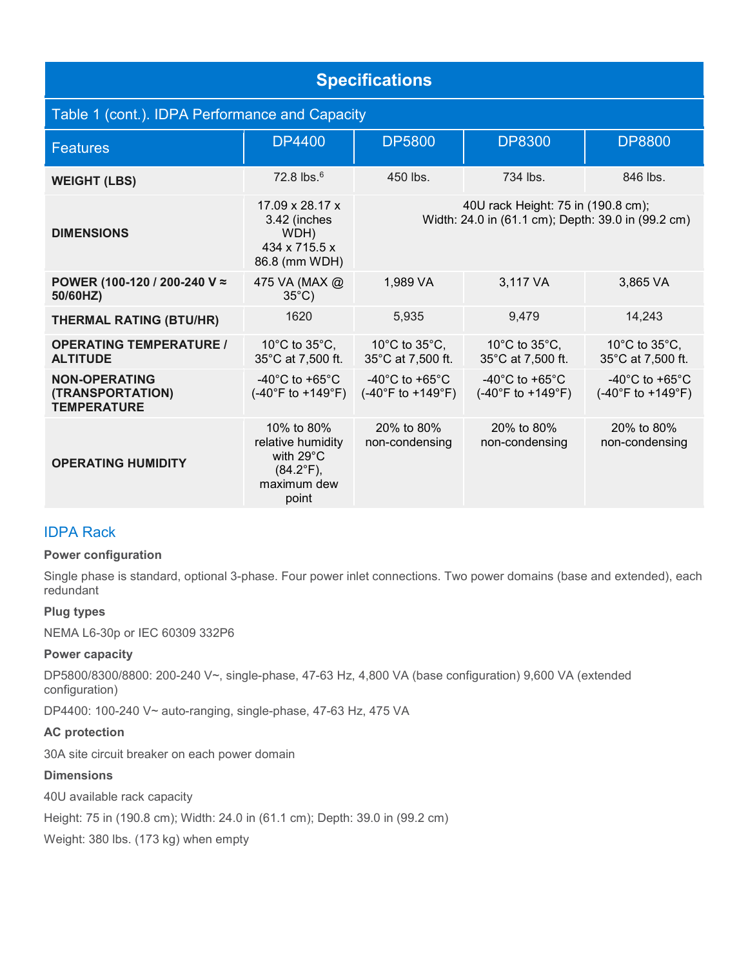| <b>Specifications</b>                                          |                                                                                                       |                                                                                          |                                                                           |                                                                           |  |  |  |
|----------------------------------------------------------------|-------------------------------------------------------------------------------------------------------|------------------------------------------------------------------------------------------|---------------------------------------------------------------------------|---------------------------------------------------------------------------|--|--|--|
| Table 1 (cont.). IDPA Performance and Capacity                 |                                                                                                       |                                                                                          |                                                                           |                                                                           |  |  |  |
| <b>Features</b>                                                | <b>DP4400</b>                                                                                         | <b>DP5800</b>                                                                            | <b>DP8300</b>                                                             | <b>DP8800</b>                                                             |  |  |  |
| <b>WEIGHT (LBS)</b>                                            | $72.8$ lbs. $6$                                                                                       | 450 lbs.                                                                                 | $734$ lbs.                                                                | 846 lbs.                                                                  |  |  |  |
| <b>DIMENSIONS</b>                                              | $17.09 \times 28.17 \times$<br>3.42 (inches<br>WDH)<br>434 x 715.5 x<br>86.8 (mm WDH)                 | 40U rack Height: 75 in (190.8 cm);<br>Width: 24.0 in (61.1 cm); Depth: 39.0 in (99.2 cm) |                                                                           |                                                                           |  |  |  |
| POWER (100-120 / 200-240 V ≈<br>50/60HZ)                       | 475 VA (MAX @<br>$35^{\circ}$ C)                                                                      | 1,989 VA                                                                                 | 3,117 VA                                                                  | 3,865 VA                                                                  |  |  |  |
| <b>THERMAL RATING (BTU/HR)</b>                                 | 1620                                                                                                  | 5,935                                                                                    | 9,479                                                                     | 14,243                                                                    |  |  |  |
| <b>OPERATING TEMPERATURE /</b><br><b>ALTITUDE</b>              | 10 $^{\circ}$ C to 35 $^{\circ}$ C,<br>35°C at 7,500 ft.                                              | 10 $^{\circ}$ C to 35 $^{\circ}$ C.<br>35°C at 7,500 ft.                                 | 10 $^{\circ}$ C to 35 $^{\circ}$ C,<br>35°C at 7,500 ft.                  | 10 $^{\circ}$ C to 35 $^{\circ}$ C,<br>35°C at 7,500 ft.                  |  |  |  |
| <b>NON-OPERATING</b><br>(TRANSPORTATION)<br><b>TEMPERATURE</b> | -40 $^{\circ}$ C to +65 $^{\circ}$ C<br>$(-40^{\circ}F to +149^{\circ}F)$                             | -40 $^{\circ}$ C to +65 $^{\circ}$ C<br>$(-40^{\circ}F to +149^{\circ}F)$                | -40 $^{\circ}$ C to +65 $^{\circ}$ C<br>$(-40^{\circ}F to +149^{\circ}F)$ | -40 $^{\circ}$ C to +65 $^{\circ}$ C<br>$(-40^{\circ}F to +149^{\circ}F)$ |  |  |  |
| <b>OPERATING HUMIDITY</b>                                      | 10% to 80%<br>relative humidity<br>with $29^{\circ}$ C<br>$(84.2^{\circ}F)$ ,<br>maximum dew<br>point | 20% to 80%<br>non-condensing                                                             | 20% to 80%<br>non-condensing                                              | 20% to 80%<br>non-condensing                                              |  |  |  |

# IDPA Rack

#### **Power configuration**

Single phase is standard, optional 3-phase. Four power inlet connections. Two power domains (base and extended), each redundant

#### **Plug types**

NEMA L6-30p or IEC 60309 332P6

#### **Power capacity**

DP5800/8300/8800: 200-240 V~, single-phase, 47-63 Hz, 4,800 VA (base configuration) 9,600 VA (extended configuration)

DP4400: 100-240 V~ auto-ranging, single-phase, 47-63 Hz, 475 VA

#### **AC protection**

30A site circuit breaker on each power domain

#### **Dimensions**

40U available rack capacity

Height: 75 in (190.8 cm); Width: 24.0 in (61.1 cm); Depth: 39.0 in (99.2 cm)

Weight: 380 lbs. (173 kg) when empty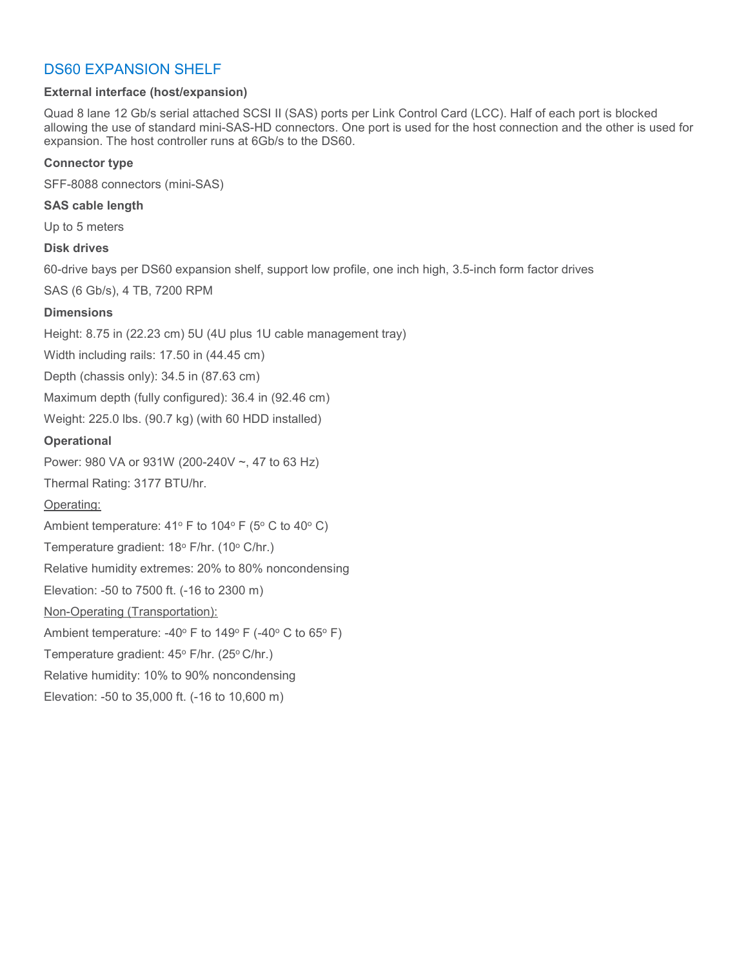# DS60 EXPANSION SHELF

#### **External interface (host/expansion)**

Quad 8 lane 12 Gb/s serial attached SCSI II (SAS) ports per Link Control Card (LCC). Half of each port is blocked allowing the use of standard mini-SAS-HD connectors. One port is used for the host connection and the other is used for expansion. The host controller runs at 6Gb/s to the DS60.

#### **Connector type**

SFF-8088 connectors (mini-SAS)

#### **SAS cable length**

Up to 5 meters

#### **Disk drives**

60-drive bays per DS60 expansion shelf, support low profile, one inch high, 3.5-inch form factor drives

SAS (6 Gb/s), 4 TB, 7200 RPM

#### **Dimensions**

Height: 8.75 in (22.23 cm) 5U (4U plus 1U cable management tray)

Width including rails: 17.50 in (44.45 cm)

Depth (chassis only): 34.5 in (87.63 cm)

Maximum depth (fully configured): 36.4 in (92.46 cm)

Weight: 225.0 lbs. (90.7 kg) (with 60 HDD installed)

#### **Operational**

Power: 980 VA or 931W (200-240V ~, 47 to 63 Hz)

Thermal Rating: 3177 BTU/hr.

#### Operating:

Ambient temperature:  $41^{\circ}$  F to  $104^{\circ}$  F (5° C to  $40^{\circ}$  C)

Temperature gradient: 18° F/hr. (10° C/hr.)

Relative humidity extremes: 20% to 80% noncondensing

Elevation: -50 to 7500 ft. (-16 to 2300 m)

#### Non-Operating (Transportation):

Ambient temperature: -40 $\degree$  F to 149 $\degree$  F (-40 $\degree$  C to 65 $\degree$  F)

Temperature gradient: 45° F/hr. (25° C/hr.)

Relative humidity: 10% to 90% noncondensing

Elevation: -50 to 35,000 ft. (-16 to 10,600 m)